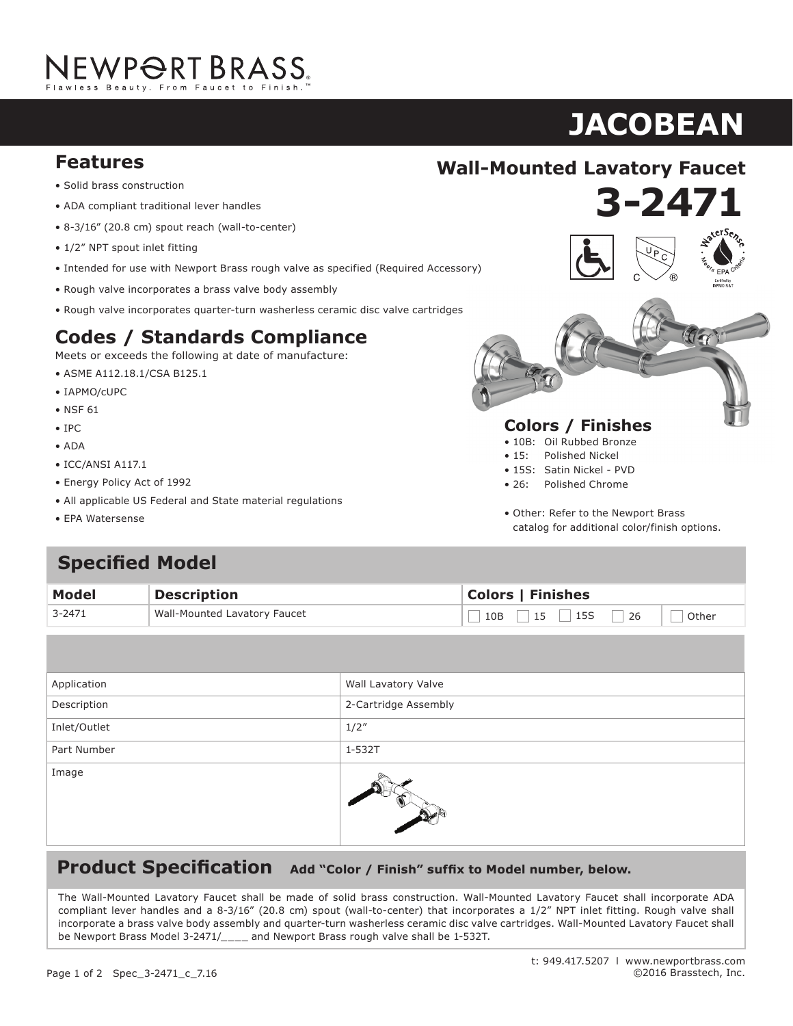# NEWPORT BRASS.

# $\overline{\textbf{JACOBEAN}}$

- **Solid brass construction**
- ADA compliant traditional lever handles
- 8-3/16" (20.8 cm) spout reach (wall-to-center)
- $1/2$ " NPT spout inlet fitting
- $\bullet$  Intended for use with Newport Brass rough valve as specified (Required Accessory)
- Rough valve incorporates a brass valve body assembly  $\mathcal{S}$  is a semi-dimensional supply hoses with integral supply hoses  $\mathcal{S}$
- Rough valve incorporates quarter-turn washerless ceramic disc valve cartridges

## **Codes / Standards Compliance**

Meets or exceeds the following at date of manufacture:

- $\bullet$  ASME A112.18.1/CSA B125.1
- IAPMO/cUPC
- NSF 61  $\frac{1}{5}$  1.5 gallons (5.7 liters) per minute maximum flow rate maximum flow rate maximum flow rate maximum flow rate maximum flow rate maximum flow rate maximum flow rate maximum flow rate maximum flow rate maximum flow
- IPC
- ADA **Codes / Standards Compliance**
- $\bullet$  ICC/ANSI A117.1
- Energy Policy Act of 1992
- All applicable US Federal and State material regulations
- EPA Watersense





- 10B: Oil Rubbed Bronze
- 15: Polished Nickel
- 15S: Satin Nickel PVD
- 26: Polished Chrome
- Other: Refer to the Newport Brass catalog for additional color/finish options.

### **Specified Model**  $\frac{1}{\sqrt{2}}$ • r –

| Model      | <b>Description</b>           | <b>Colors   Finishes</b>       |
|------------|------------------------------|--------------------------------|
| $3 - 2471$ | Wall-Mounted Lavatory Faucet | $10B$ 15 15 26 $\Box$<br>Other |

| Application  | Wall Lavatory Valve  |
|--------------|----------------------|
| Description  | 2-Cartridge Assembly |
| Inlet/Outlet | 1/2''                |
| Part Number  | 1-532T               |
| Image        |                      |

## **Product Specification** Add "Color / Finish" suffix to Model number, below.

The Wall-Mounted Lavatory Faucet shall be made of solid brass construction. Wall-Mounted Lavatory Faucet shall incorporate ADA<br>The Wall-Mounted Lavatory Faucet shall be made of solid brass construction. Wall-Mounted Lavato compliant lever handles and a 8-3/16" (20.8 cm) spout (wall-to-center) that incorporates a  $1/2$ " NPT inlet fitting. Rough valve shall incorporate a brass valve body assembly and quarter-turn washerless ceramic disc valve cartridges. Wall-Mounted Lavatory Faucet shall neorporate a brass varve boay assembly and quarter tarm mashemess ceramic also valve carenages. Mail modified Eavatory radect shall be Newport Brass Model 3-2471/\_\_\_\_ and Newport Brass rough valve shall be 1-532T. incorporate a  $1$ -7/16" (3.7 cm) spout their and a spout reach (c-c). Fauch (c-c). Fauch (c-c). Fauch (c-c). Faucet shall include a population of  $\sim$